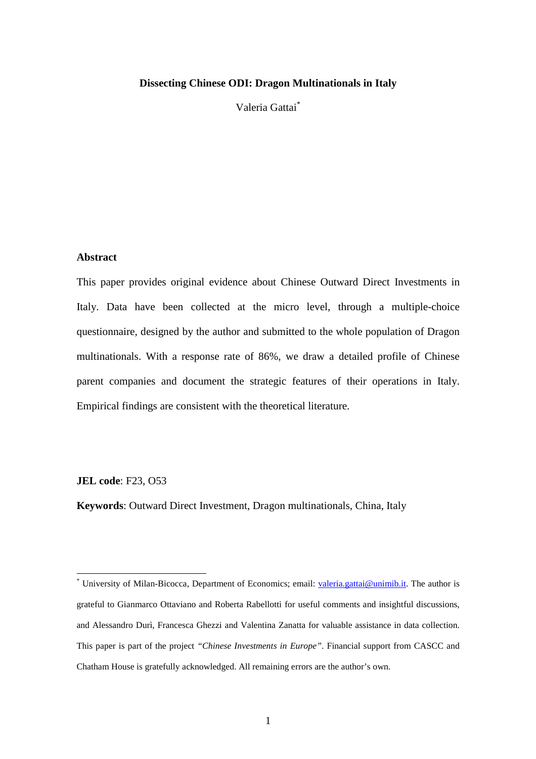## **Dissecting Chinese ODI: Dragon Multinationals in Italy**

Valeria Gattai\*

# **Abstract**

This paper provides original evidence about Chinese Outward Direct Investments in Italy. Data have been collected at the micro level, through a multiple-choice questionnaire, designed by the author and submitted to the whole population of Dragon multinationals. With a response rate of 86%, we draw a detailed profile of Chinese parent companies and document the strategic features of their operations in Italy. Empirical findings are consistent with the theoretical literature.

**JEL code**: F23, O53

 $\overline{a}$ 

**Keywords**: Outward Direct Investment, Dragon multinationals, China, Italy

<sup>\*</sup> University of Milan-Bicocca, Department of Economics; email: valeria.gattai@unimib.it. The author is grateful to Gianmarco Ottaviano and Roberta Rabellotti for useful comments and insightful discussions, and Alessandro Durì, Francesca Ghezzi and Valentina Zanatta for valuable assistance in data collection. This paper is part of the project *"Chinese Investments in Europe"*. Financial support from CASCC and Chatham House is gratefully acknowledged. All remaining errors are the author's own.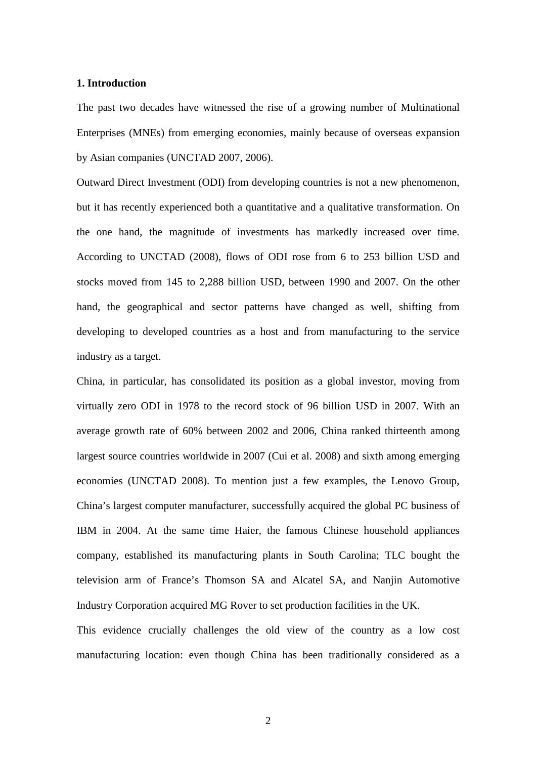## **1. Introduction**

The past two decades have witnessed the rise of a growing number of Multinational Enterprises (MNEs) from emerging economies, mainly because of overseas expansion by Asian companies (UNCTAD 2007, 2006).

Outward Direct Investment (ODI) from developing countries is not a new phenomenon, but it has recently experienced both a quantitative and a qualitative transformation. On the one hand, the magnitude of investments has markedly increased over time. According to UNCTAD (2008), flows of ODI rose from 6 to 253 billion USD and stocks moved from 145 to 2,288 billion USD, between 1990 and 2007. On the other hand, the geographical and sector patterns have changed as well, shifting from developing to developed countries as a host and from manufacturing to the service industry as a target.

China, in particular, has consolidated its position as a global investor, moving from virtually zero ODI in 1978 to the record stock of 96 billion USD in 2007. With an average growth rate of 60% between 2002 and 2006, China ranked thirteenth among largest source countries worldwide in 2007 (Cui et al. 2008) and sixth among emerging economies (UNCTAD 2008). To mention just a few examples, the Lenovo Group, China's largest computer manufacturer, successfully acquired the global PC business of IBM in 2004. At the same time Haier, the famous Chinese household appliances company, established its manufacturing plants in South Carolina; TLC bought the television arm of France's Thomson SA and Alcatel SA, and Nanjin Automotive Industry Corporation acquired MG Rover to set production facilities in the UK.

This evidence crucially challenges the old view of the country as a low cost manufacturing location: even though China has been traditionally considered as a

2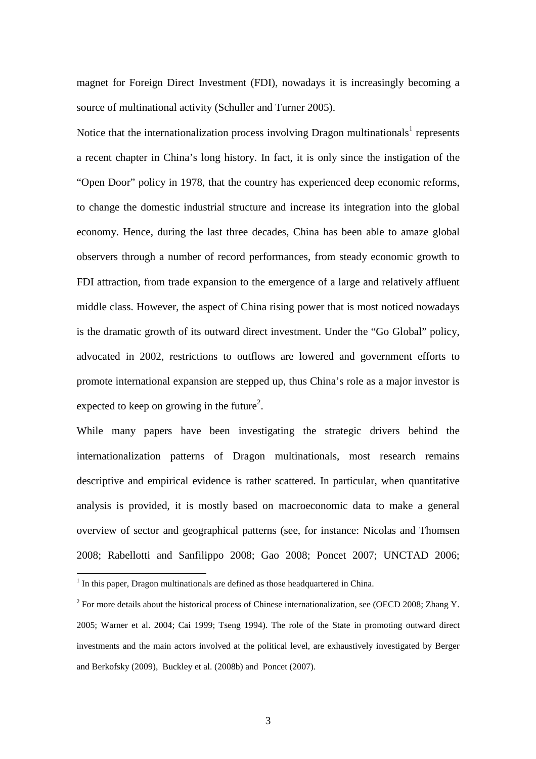magnet for Foreign Direct Investment (FDI), nowadays it is increasingly becoming a source of multinational activity (Schuller and Turner 2005).

Notice that the internationalization process involving Dragon multinationals<sup>1</sup> represents a recent chapter in China's long history. In fact, it is only since the instigation of the "Open Door" policy in 1978, that the country has experienced deep economic reforms, to change the domestic industrial structure and increase its integration into the global economy. Hence, during the last three decades, China has been able to amaze global observers through a number of record performances, from steady economic growth to FDI attraction, from trade expansion to the emergence of a large and relatively affluent middle class. However, the aspect of China rising power that is most noticed nowadays is the dramatic growth of its outward direct investment. Under the "Go Global" policy, advocated in 2002, restrictions to outflows are lowered and government efforts to promote international expansion are stepped up, thus China's role as a major investor is expected to keep on growing in the future<sup>2</sup>.

While many papers have been investigating the strategic drivers behind the internationalization patterns of Dragon multinationals, most research remains descriptive and empirical evidence is rather scattered. In particular, when quantitative analysis is provided, it is mostly based on macroeconomic data to make a general overview of sector and geographical patterns (see, for instance: Nicolas and Thomsen 2008; Rabellotti and Sanfilippo 2008; Gao 2008; Poncet 2007; UNCTAD 2006;

 1 In this paper, Dragon multinationals are defined as those headquartered in China.

 $2^2$  For more details about the historical process of Chinese internationalization, see (OECD 2008; Zhang Y. 2005; Warner et al. 2004; Cai 1999; Tseng 1994). The role of the State in promoting outward direct investments and the main actors involved at the political level, are exhaustively investigated by Berger and Berkofsky (2009), Buckley et al. (2008b) and Poncet (2007).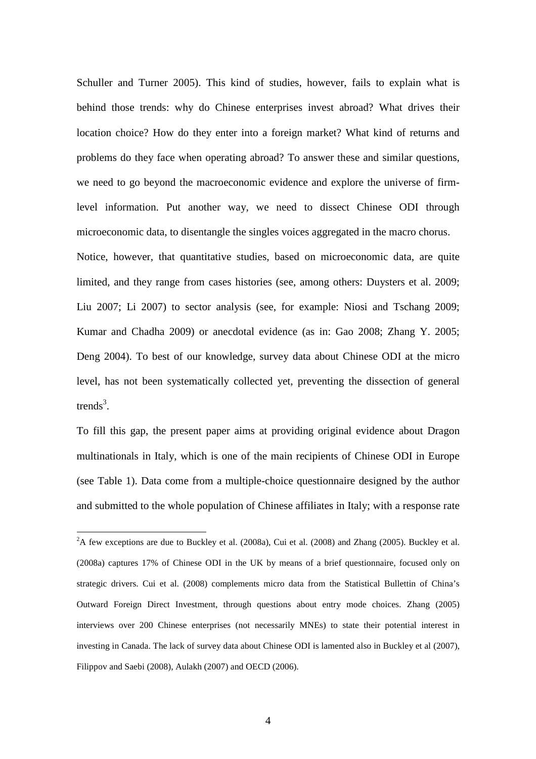Schuller and Turner 2005). This kind of studies, however, fails to explain what is behind those trends: why do Chinese enterprises invest abroad? What drives their location choice? How do they enter into a foreign market? What kind of returns and problems do they face when operating abroad? To answer these and similar questions, we need to go beyond the macroeconomic evidence and explore the universe of firmlevel information. Put another way, we need to dissect Chinese ODI through microeconomic data, to disentangle the singles voices aggregated in the macro chorus. Notice, however, that quantitative studies, based on microeconomic data, are quite limited, and they range from cases histories (see, among others: Duysters et al. 2009; Liu 2007; Li 2007) to sector analysis (see, for example: Niosi and Tschang 2009; Kumar and Chadha 2009) or anecdotal evidence (as in: Gao 2008; Zhang Y. 2005; Deng 2004). To best of our knowledge, survey data about Chinese ODI at the micro level, has not been systematically collected yet, preventing the dissection of general trends<sup>3</sup>.

To fill this gap, the present paper aims at providing original evidence about Dragon multinationals in Italy, which is one of the main recipients of Chinese ODI in Europe (see Table 1). Data come from a multiple-choice questionnaire designed by the author and submitted to the whole population of Chinese affiliates in Italy; with a response rate

 $\overline{a}$ 

 ${}^{2}$ A few exceptions are due to Buckley et al. (2008a), Cui et al. (2008) and Zhang (2005). Buckley et al. (2008a) captures 17% of Chinese ODI in the UK by means of a brief questionnaire, focused only on strategic drivers. Cui et al. (2008) complements micro data from the Statistical Bullettin of China's Outward Foreign Direct Investment, through questions about entry mode choices. Zhang (2005) interviews over 200 Chinese enterprises (not necessarily MNEs) to state their potential interest in investing in Canada. The lack of survey data about Chinese ODI is lamented also in Buckley et al (2007), Filippov and Saebi (2008), Aulakh (2007) and OECD (2006).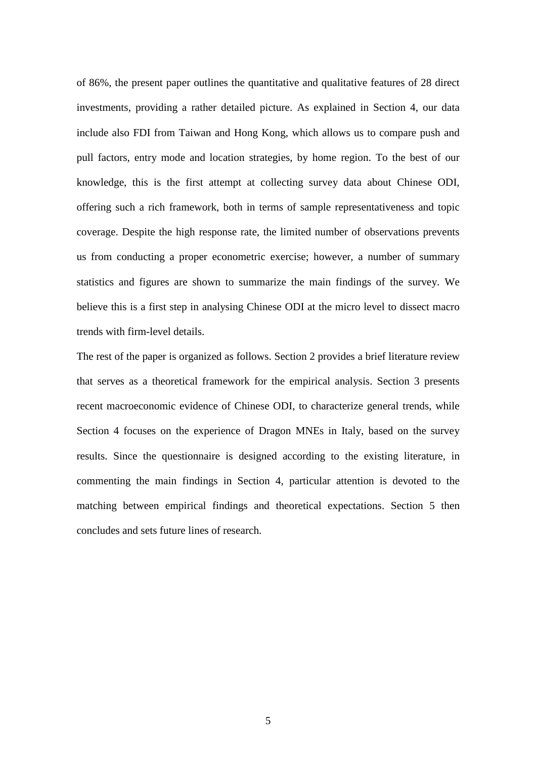of 86%, the present paper outlines the quantitative and qualitative features of 28 direct investments, providing a rather detailed picture. As explained in Section 4, our data include also FDI from Taiwan and Hong Kong, which allows us to compare push and pull factors, entry mode and location strategies, by home region. To the best of our knowledge, this is the first attempt at collecting survey data about Chinese ODI, offering such a rich framework, both in terms of sample representativeness and topic coverage. Despite the high response rate, the limited number of observations prevents us from conducting a proper econometric exercise; however, a number of summary statistics and figures are shown to summarize the main findings of the survey. We believe this is a first step in analysing Chinese ODI at the micro level to dissect macro trends with firm-level details.

The rest of the paper is organized as follows. Section 2 provides a brief literature review that serves as a theoretical framework for the empirical analysis. Section 3 presents recent macroeconomic evidence of Chinese ODI, to characterize general trends, while Section 4 focuses on the experience of Dragon MNEs in Italy, based on the survey results. Since the questionnaire is designed according to the existing literature, in commenting the main findings in Section 4, particular attention is devoted to the matching between empirical findings and theoretical expectations. Section 5 then concludes and sets future lines of research.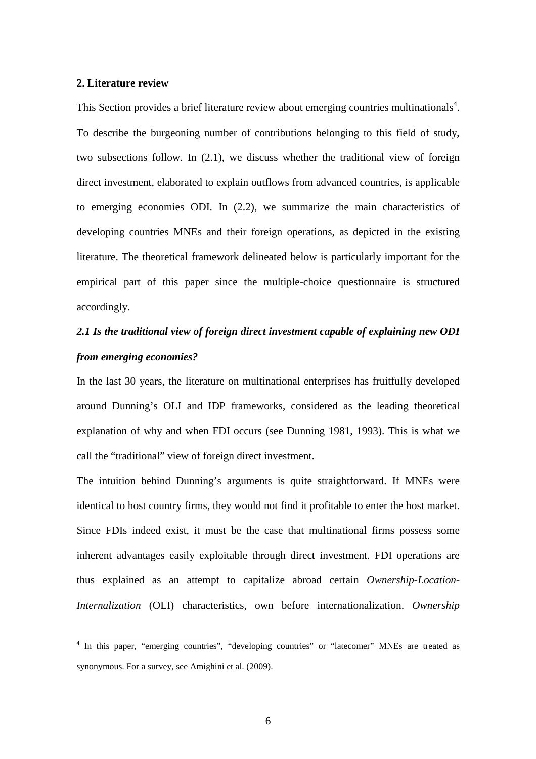## **2. Literature review**

This Section provides a brief literature review about emerging countries multinationals<sup>4</sup>. To describe the burgeoning number of contributions belonging to this field of study, two subsections follow. In (2.1), we discuss whether the traditional view of foreign direct investment, elaborated to explain outflows from advanced countries, is applicable to emerging economies ODI. In (2.2), we summarize the main characteristics of developing countries MNEs and their foreign operations, as depicted in the existing literature. The theoretical framework delineated below is particularly important for the empirical part of this paper since the multiple-choice questionnaire is structured accordingly.

# *2.1 Is the traditional view of foreign direct investment capable of explaining new ODI from emerging economies?*

In the last 30 years, the literature on multinational enterprises has fruitfully developed around Dunning's OLI and IDP frameworks, considered as the leading theoretical explanation of why and when FDI occurs (see Dunning 1981, 1993). This is what we call the "traditional" view of foreign direct investment.

The intuition behind Dunning's arguments is quite straightforward. If MNEs were identical to host country firms, they would not find it profitable to enter the host market. Since FDIs indeed exist, it must be the case that multinational firms possess some inherent advantages easily exploitable through direct investment. FDI operations are thus explained as an attempt to capitalize abroad certain *Ownership-Location-Internalization* (OLI) characteristics, own before internationalization. *Ownership* 

 4 In this paper, "emerging countries", "developing countries" or "latecomer" MNEs are treated as synonymous. For a survey, see Amighini et al. (2009).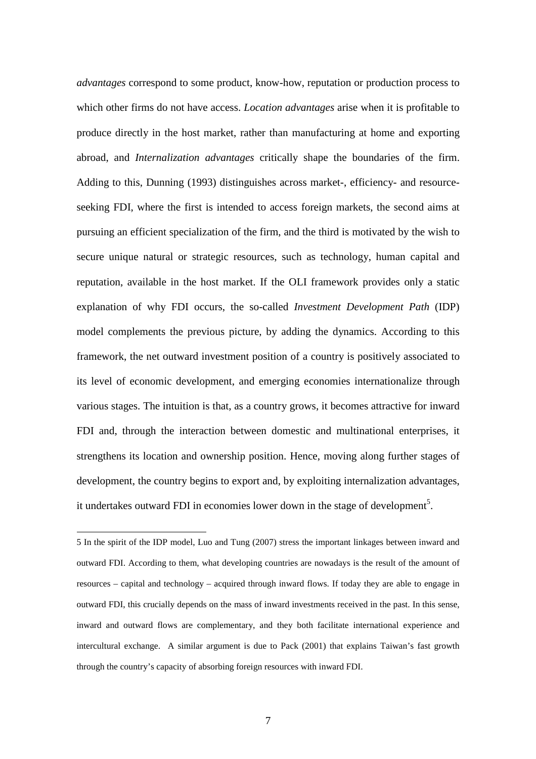*advantages* correspond to some product, know-how, reputation or production process to which other firms do not have access. *Location advantages* arise when it is profitable to produce directly in the host market, rather than manufacturing at home and exporting abroad, and *Internalization advantages* critically shape the boundaries of the firm. Adding to this, Dunning (1993) distinguishes across market-, efficiency- and resourceseeking FDI, where the first is intended to access foreign markets, the second aims at pursuing an efficient specialization of the firm, and the third is motivated by the wish to secure unique natural or strategic resources, such as technology, human capital and reputation, available in the host market. If the OLI framework provides only a static explanation of why FDI occurs, the so-called *Investment Development Path* (IDP) model complements the previous picture, by adding the dynamics. According to this framework, the net outward investment position of a country is positively associated to its level of economic development, and emerging economies internationalize through various stages. The intuition is that, as a country grows, it becomes attractive for inward FDI and, through the interaction between domestic and multinational enterprises, it strengthens its location and ownership position. Hence, moving along further stages of development, the country begins to export and, by exploiting internalization advantages, it undertakes outward FDI in economies lower down in the stage of development<sup>5</sup>.

 $\overline{a}$ 

<sup>5</sup> In the spirit of the IDP model, Luo and Tung (2007) stress the important linkages between inward and outward FDI. According to them, what developing countries are nowadays is the result of the amount of resources – capital and technology – acquired through inward flows. If today they are able to engage in outward FDI, this crucially depends on the mass of inward investments received in the past. In this sense, inward and outward flows are complementary, and they both facilitate international experience and intercultural exchange. A similar argument is due to Pack (2001) that explains Taiwan's fast growth through the country's capacity of absorbing foreign resources with inward FDI.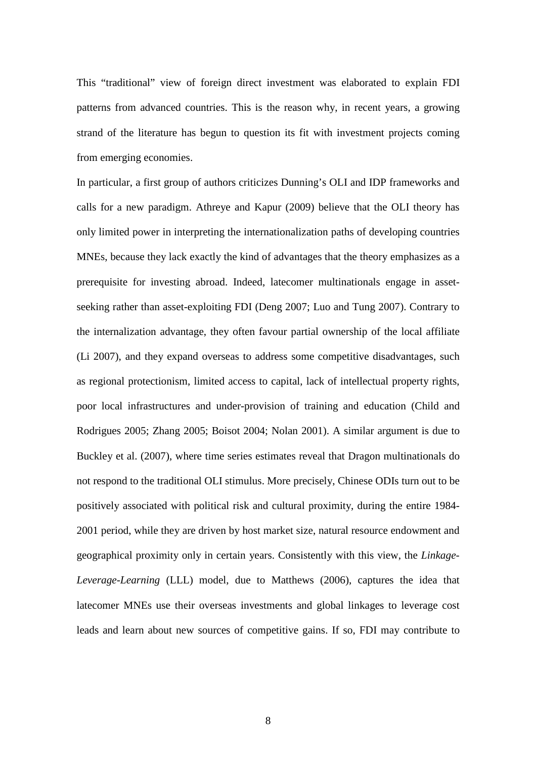This "traditional" view of foreign direct investment was elaborated to explain FDI patterns from advanced countries. This is the reason why, in recent years, a growing strand of the literature has begun to question its fit with investment projects coming from emerging economies.

In particular, a first group of authors criticizes Dunning's OLI and IDP frameworks and calls for a new paradigm. Athreye and Kapur (2009) believe that the OLI theory has only limited power in interpreting the internationalization paths of developing countries MNEs, because they lack exactly the kind of advantages that the theory emphasizes as a prerequisite for investing abroad. Indeed, latecomer multinationals engage in assetseeking rather than asset-exploiting FDI (Deng 2007; Luo and Tung 2007). Contrary to the internalization advantage, they often favour partial ownership of the local affiliate (Li 2007), and they expand overseas to address some competitive disadvantages, such as regional protectionism, limited access to capital, lack of intellectual property rights, poor local infrastructures and under-provision of training and education (Child and Rodrigues 2005; Zhang 2005; Boisot 2004; Nolan 2001). A similar argument is due to Buckley et al. (2007), where time series estimates reveal that Dragon multinationals do not respond to the traditional OLI stimulus. More precisely, Chinese ODIs turn out to be positively associated with political risk and cultural proximity, during the entire 1984- 2001 period, while they are driven by host market size, natural resource endowment and geographical proximity only in certain years. Consistently with this view, the *Linkage-Leverage-Learning* (LLL) model, due to Matthews (2006), captures the idea that latecomer MNEs use their overseas investments and global linkages to leverage cost leads and learn about new sources of competitive gains. If so, FDI may contribute to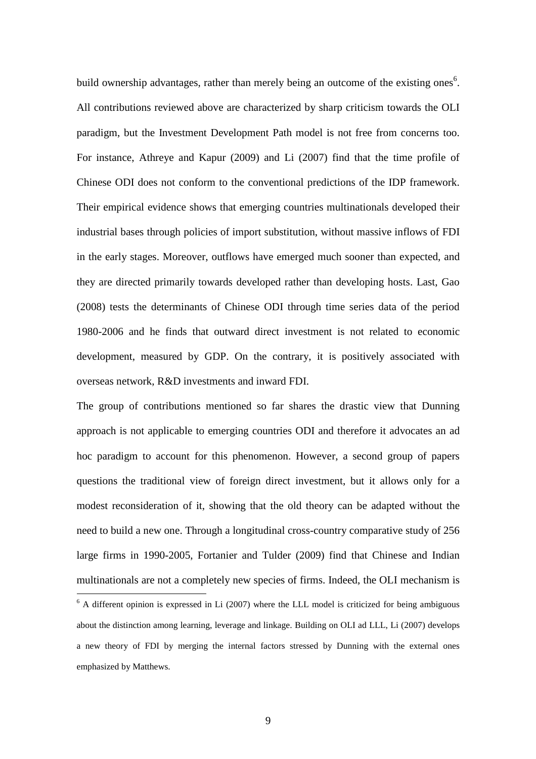build ownership advantages, rather than merely being an outcome of the existing ones<sup>6</sup>. All contributions reviewed above are characterized by sharp criticism towards the OLI paradigm, but the Investment Development Path model is not free from concerns too. For instance, Athreye and Kapur (2009) and Li (2007) find that the time profile of Chinese ODI does not conform to the conventional predictions of the IDP framework. Their empirical evidence shows that emerging countries multinationals developed their industrial bases through policies of import substitution, without massive inflows of FDI in the early stages. Moreover, outflows have emerged much sooner than expected, and they are directed primarily towards developed rather than developing hosts. Last, Gao (2008) tests the determinants of Chinese ODI through time series data of the period 1980-2006 and he finds that outward direct investment is not related to economic development, measured by GDP. On the contrary, it is positively associated with overseas network, R&D investments and inward FDI.

The group of contributions mentioned so far shares the drastic view that Dunning approach is not applicable to emerging countries ODI and therefore it advocates an ad hoc paradigm to account for this phenomenon. However, a second group of papers questions the traditional view of foreign direct investment, but it allows only for a modest reconsideration of it, showing that the old theory can be adapted without the need to build a new one. Through a longitudinal cross-country comparative study of 256 large firms in 1990-2005, Fortanier and Tulder (2009) find that Chinese and Indian multinationals are not a completely new species of firms. Indeed, the OLI mechanism is

 $\overline{a}$ 

<sup>&</sup>lt;sup>6</sup> A different opinion is expressed in Li (2007) where the LLL model is criticized for being ambiguous about the distinction among learning, leverage and linkage. Building on OLI ad LLL, Li (2007) develops a new theory of FDI by merging the internal factors stressed by Dunning with the external ones emphasized by Matthews.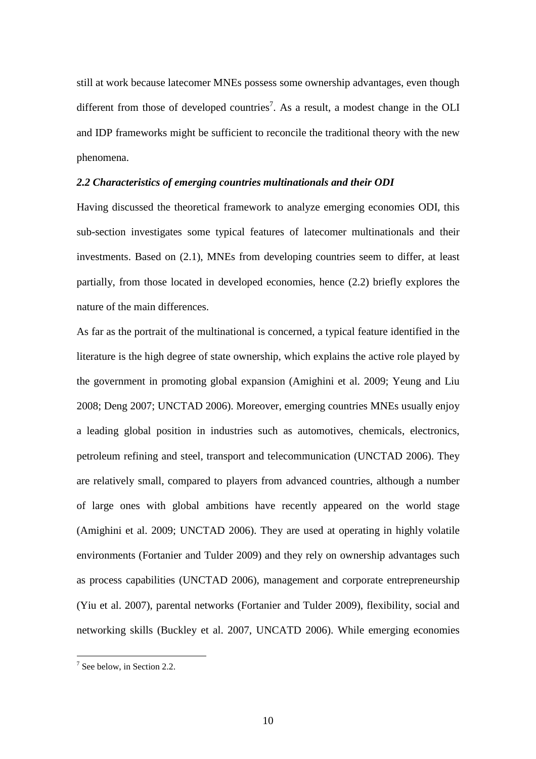still at work because latecomer MNEs possess some ownership advantages, even though different from those of developed countries<sup>7</sup>. As a result, a modest change in the OLI and IDP frameworks might be sufficient to reconcile the traditional theory with the new phenomena.

# *2.2 Characteristics of emerging countries multinationals and their ODI*

Having discussed the theoretical framework to analyze emerging economies ODI, this sub-section investigates some typical features of latecomer multinationals and their investments. Based on (2.1), MNEs from developing countries seem to differ, at least partially, from those located in developed economies, hence (2.2) briefly explores the nature of the main differences.

As far as the portrait of the multinational is concerned, a typical feature identified in the literature is the high degree of state ownership, which explains the active role played by the government in promoting global expansion (Amighini et al. 2009; Yeung and Liu 2008; Deng 2007; UNCTAD 2006). Moreover, emerging countries MNEs usually enjoy a leading global position in industries such as automotives, chemicals, electronics, petroleum refining and steel, transport and telecommunication (UNCTAD 2006). They are relatively small, compared to players from advanced countries, although a number of large ones with global ambitions have recently appeared on the world stage (Amighini et al. 2009; UNCTAD 2006). They are used at operating in highly volatile environments (Fortanier and Tulder 2009) and they rely on ownership advantages such as process capabilities (UNCTAD 2006), management and corporate entrepreneurship (Yiu et al. 2007), parental networks (Fortanier and Tulder 2009), flexibility, social and networking skills (Buckley et al. 2007, UNCATD 2006). While emerging economies

 $\overline{a}$ 

<sup>&</sup>lt;sup>7</sup> See below, in Section 2.2.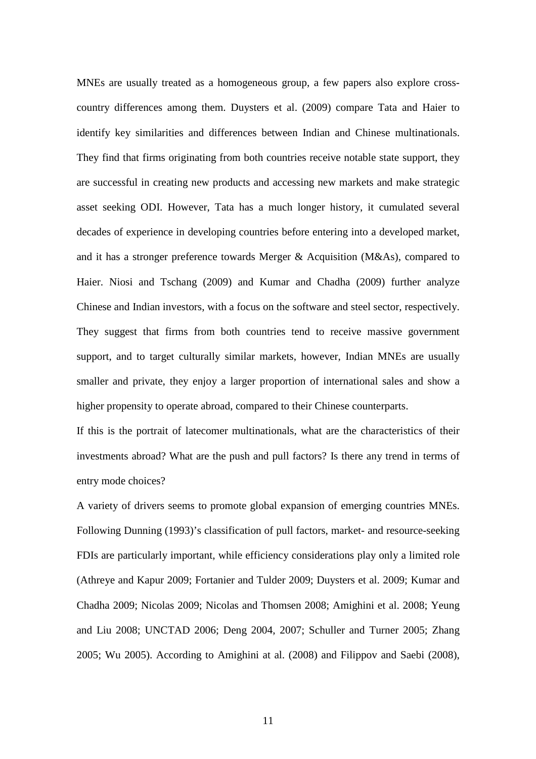MNEs are usually treated as a homogeneous group, a few papers also explore crosscountry differences among them. Duysters et al. (2009) compare Tata and Haier to identify key similarities and differences between Indian and Chinese multinationals. They find that firms originating from both countries receive notable state support, they are successful in creating new products and accessing new markets and make strategic asset seeking ODI. However, Tata has a much longer history, it cumulated several decades of experience in developing countries before entering into a developed market, and it has a stronger preference towards Merger & Acquisition (M&As), compared to Haier. Niosi and Tschang (2009) and Kumar and Chadha (2009) further analyze Chinese and Indian investors, with a focus on the software and steel sector, respectively. They suggest that firms from both countries tend to receive massive government support, and to target culturally similar markets, however, Indian MNEs are usually smaller and private, they enjoy a larger proportion of international sales and show a higher propensity to operate abroad, compared to their Chinese counterparts.

If this is the portrait of latecomer multinationals, what are the characteristics of their investments abroad? What are the push and pull factors? Is there any trend in terms of entry mode choices?

A variety of drivers seems to promote global expansion of emerging countries MNEs. Following Dunning (1993)'s classification of pull factors, market- and resource-seeking FDIs are particularly important, while efficiency considerations play only a limited role (Athreye and Kapur 2009; Fortanier and Tulder 2009; Duysters et al. 2009; Kumar and Chadha 2009; Nicolas 2009; Nicolas and Thomsen 2008; Amighini et al. 2008; Yeung and Liu 2008; UNCTAD 2006; Deng 2004, 2007; Schuller and Turner 2005; Zhang 2005; Wu 2005). According to Amighini at al. (2008) and Filippov and Saebi (2008),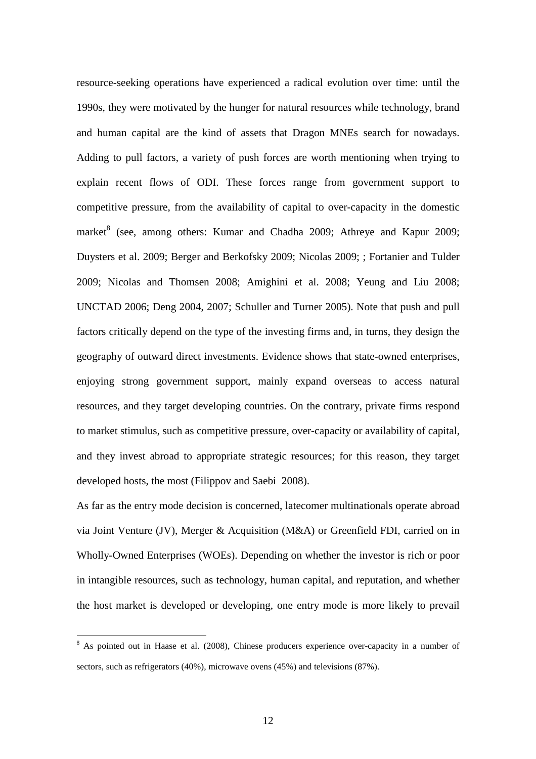resource-seeking operations have experienced a radical evolution over time: until the 1990s, they were motivated by the hunger for natural resources while technology, brand and human capital are the kind of assets that Dragon MNEs search for nowadays. Adding to pull factors, a variety of push forces are worth mentioning when trying to explain recent flows of ODI. These forces range from government support to competitive pressure, from the availability of capital to over-capacity in the domestic market<sup>8</sup> (see, among others: Kumar and Chadha 2009; Athreye and Kapur 2009; Duysters et al. 2009; Berger and Berkofsky 2009; Nicolas 2009; ; Fortanier and Tulder 2009; Nicolas and Thomsen 2008; Amighini et al. 2008; Yeung and Liu 2008; UNCTAD 2006; Deng 2004, 2007; Schuller and Turner 2005). Note that push and pull factors critically depend on the type of the investing firms and, in turns, they design the geography of outward direct investments. Evidence shows that state-owned enterprises, enjoying strong government support, mainly expand overseas to access natural resources, and they target developing countries. On the contrary, private firms respond to market stimulus, such as competitive pressure, over-capacity or availability of capital, and they invest abroad to appropriate strategic resources; for this reason, they target developed hosts, the most (Filippov and Saebi 2008).

As far as the entry mode decision is concerned, latecomer multinationals operate abroad via Joint Venture (JV), Merger & Acquisition (M&A) or Greenfield FDI, carried on in Wholly-Owned Enterprises (WOEs). Depending on whether the investor is rich or poor in intangible resources, such as technology, human capital, and reputation, and whether the host market is developed or developing, one entry mode is more likely to prevail

<sup>&</sup>lt;sup>8</sup> As pointed out in Haase et al. (2008), Chinese producers experience over-capacity in a number of sectors, such as refrigerators (40%), microwave ovens (45%) and televisions (87%).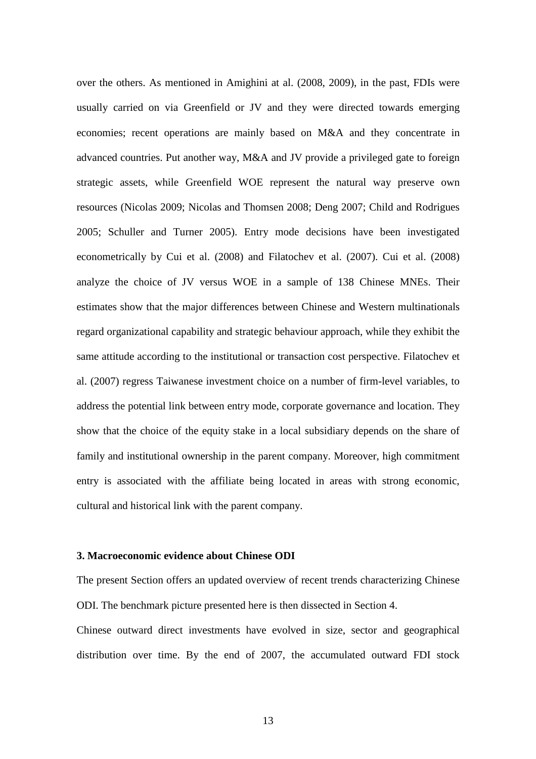over the others. As mentioned in Amighini at al. (2008, 2009), in the past, FDIs were usually carried on via Greenfield or JV and they were directed towards emerging economies; recent operations are mainly based on M&A and they concentrate in advanced countries. Put another way, M&A and JV provide a privileged gate to foreign strategic assets, while Greenfield WOE represent the natural way preserve own resources (Nicolas 2009; Nicolas and Thomsen 2008; Deng 2007; Child and Rodrigues 2005; Schuller and Turner 2005). Entry mode decisions have been investigated econometrically by Cui et al. (2008) and Filatochev et al. (2007). Cui et al. (2008) analyze the choice of JV versus WOE in a sample of 138 Chinese MNEs. Their estimates show that the major differences between Chinese and Western multinationals regard organizational capability and strategic behaviour approach, while they exhibit the same attitude according to the institutional or transaction cost perspective. Filatochev et al. (2007) regress Taiwanese investment choice on a number of firm-level variables, to address the potential link between entry mode, corporate governance and location. They show that the choice of the equity stake in a local subsidiary depends on the share of family and institutional ownership in the parent company. Moreover, high commitment entry is associated with the affiliate being located in areas with strong economic, cultural and historical link with the parent company.

#### **3. Macroeconomic evidence about Chinese ODI**

The present Section offers an updated overview of recent trends characterizing Chinese ODI. The benchmark picture presented here is then dissected in Section 4.

Chinese outward direct investments have evolved in size, sector and geographical distribution over time. By the end of 2007, the accumulated outward FDI stock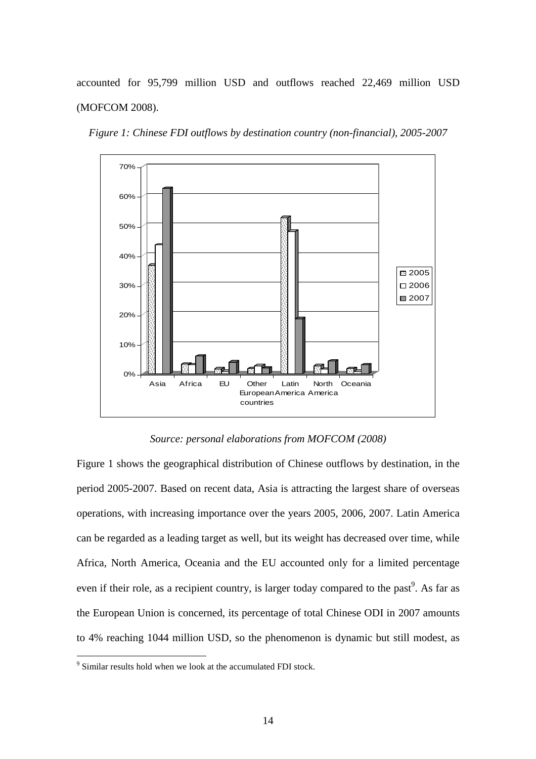accounted for 95,799 million USD and outflows reached 22,469 million USD (MOFCOM 2008).

*Figure 1: Chinese FDI outflows by destination country (non-financial), 2005-2007* 



*Source: personal elaborations from MOFCOM (2008)* 

Figure 1 shows the geographical distribution of Chinese outflows by destination, in the period 2005-2007. Based on recent data, Asia is attracting the largest share of overseas operations, with increasing importance over the years 2005, 2006, 2007. Latin America can be regarded as a leading target as well, but its weight has decreased over time, while Africa, North America, Oceania and the EU accounted only for a limited percentage even if their role, as a recipient country, is larger today compared to the past<sup>9</sup>. As far as the European Union is concerned, its percentage of total Chinese ODI in 2007 amounts to 4% reaching 1044 million USD, so the phenomenon is dynamic but still modest, as

 $\overline{a}$ 

<sup>9</sup> Similar results hold when we look at the accumulated FDI stock.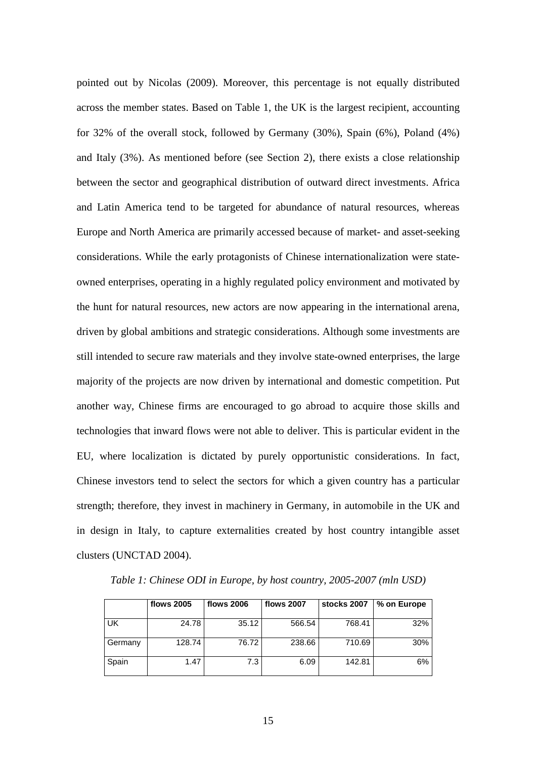pointed out by Nicolas (2009). Moreover, this percentage is not equally distributed across the member states. Based on Table 1, the UK is the largest recipient, accounting for 32% of the overall stock, followed by Germany (30%), Spain (6%), Poland (4%) and Italy (3%). As mentioned before (see Section 2), there exists a close relationship between the sector and geographical distribution of outward direct investments. Africa and Latin America tend to be targeted for abundance of natural resources, whereas Europe and North America are primarily accessed because of market- and asset-seeking considerations. While the early protagonists of Chinese internationalization were stateowned enterprises, operating in a highly regulated policy environment and motivated by the hunt for natural resources, new actors are now appearing in the international arena, driven by global ambitions and strategic considerations. Although some investments are still intended to secure raw materials and they involve state-owned enterprises, the large majority of the projects are now driven by international and domestic competition. Put another way, Chinese firms are encouraged to go abroad to acquire those skills and technologies that inward flows were not able to deliver. This is particular evident in the EU, where localization is dictated by purely opportunistic considerations. In fact, Chinese investors tend to select the sectors for which a given country has a particular strength; therefore, they invest in machinery in Germany, in automobile in the UK and in design in Italy, to capture externalities created by host country intangible asset clusters (UNCTAD 2004).

*Table 1: Chinese ODI in Europe, by host country, 2005-2007 (mln USD)* 

|         | <b>flows 2005</b> | flows 2006 | flows 2007 | stocks 2007 | % on Europe |
|---------|-------------------|------------|------------|-------------|-------------|
| UK      | 24.78             | 35.12      | 566.54     | 768.41      | 32%         |
| Germany | 128.74            | 76.72      | 238.66     | 710.69      | 30%         |
| Spain   | 1.47              | 7.3        | 6.09       | 142.81      | 6%          |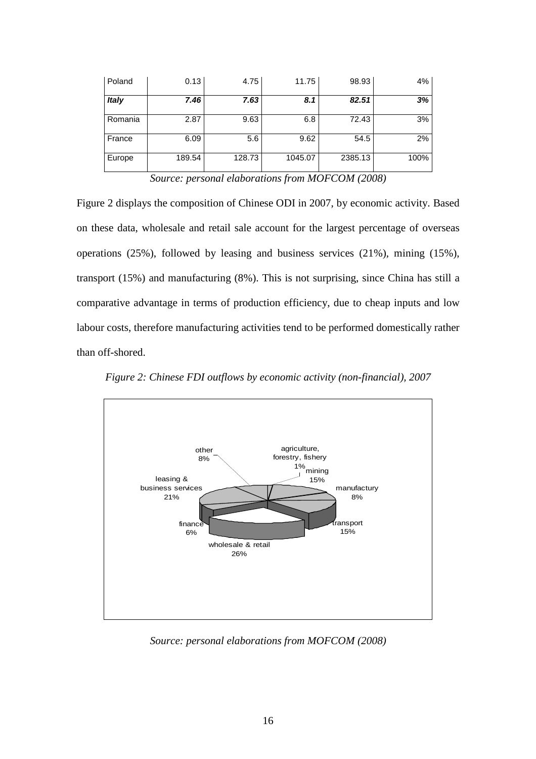| Poland       | 0.13   | 4.75   | 11.75   | 98.93   | 4%   |
|--------------|--------|--------|---------|---------|------|
| <b>Italy</b> | 7.46   | 7.63   | 8.1     | 82.51   | 3%   |
| Romania      | 2.87   | 9.63   | 6.8     | 72.43   | 3%   |
| France       | 6.09   | 5.6    | 9.62    | 54.5    | 2%   |
| Europe       | 189.54 | 128.73 | 1045.07 | 2385.13 | 100% |

*Source: personal elaborations from MOFCOM (2008)*

Figure 2 displays the composition of Chinese ODI in 2007, by economic activity. Based on these data, wholesale and retail sale account for the largest percentage of overseas operations (25%), followed by leasing and business services (21%), mining (15%), transport (15%) and manufacturing (8%). This is not surprising, since China has still a comparative advantage in terms of production efficiency, due to cheap inputs and low labour costs, therefore manufacturing activities tend to be performed domestically rather than off-shored.



*Figure 2: Chinese FDI outflows by economic activity (non-financial), 2007*

*Source: personal elaborations from MOFCOM (2008)*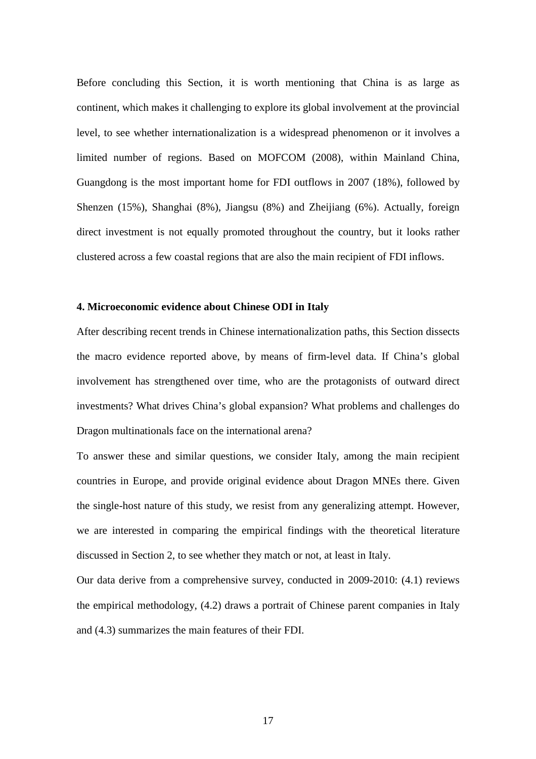Before concluding this Section, it is worth mentioning that China is as large as continent, which makes it challenging to explore its global involvement at the provincial level, to see whether internationalization is a widespread phenomenon or it involves a limited number of regions. Based on MOFCOM (2008), within Mainland China, Guangdong is the most important home for FDI outflows in 2007 (18%), followed by Shenzen (15%), Shanghai (8%), Jiangsu (8%) and Zheijiang (6%). Actually, foreign direct investment is not equally promoted throughout the country, but it looks rather clustered across a few coastal regions that are also the main recipient of FDI inflows.

#### **4. Microeconomic evidence about Chinese ODI in Italy**

After describing recent trends in Chinese internationalization paths, this Section dissects the macro evidence reported above, by means of firm-level data. If China's global involvement has strengthened over time, who are the protagonists of outward direct investments? What drives China's global expansion? What problems and challenges do Dragon multinationals face on the international arena?

To answer these and similar questions, we consider Italy, among the main recipient countries in Europe, and provide original evidence about Dragon MNEs there. Given the single-host nature of this study, we resist from any generalizing attempt. However, we are interested in comparing the empirical findings with the theoretical literature discussed in Section 2, to see whether they match or not, at least in Italy.

Our data derive from a comprehensive survey, conducted in 2009-2010: (4.1) reviews the empirical methodology, (4.2) draws a portrait of Chinese parent companies in Italy and (4.3) summarizes the main features of their FDI.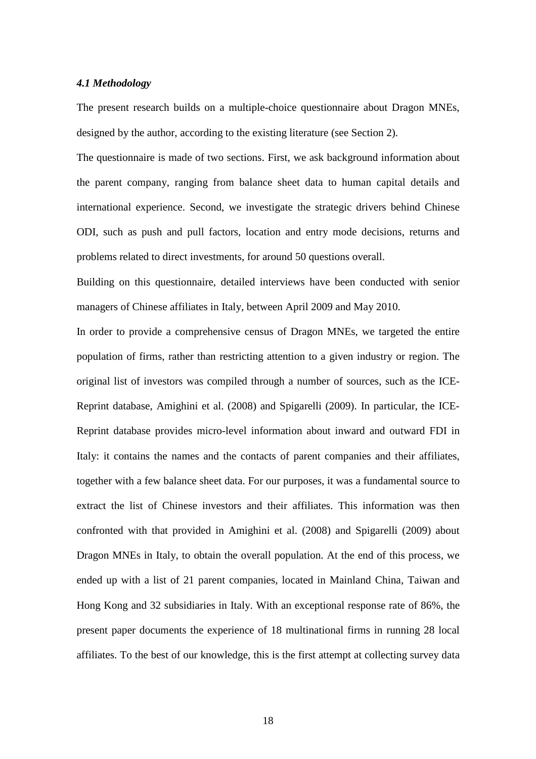## *4.1 Methodology*

The present research builds on a multiple-choice questionnaire about Dragon MNEs, designed by the author, according to the existing literature (see Section 2).

The questionnaire is made of two sections. First, we ask background information about the parent company, ranging from balance sheet data to human capital details and international experience. Second, we investigate the strategic drivers behind Chinese ODI, such as push and pull factors, location and entry mode decisions, returns and problems related to direct investments, for around 50 questions overall.

Building on this questionnaire, detailed interviews have been conducted with senior managers of Chinese affiliates in Italy, between April 2009 and May 2010.

In order to provide a comprehensive census of Dragon MNEs, we targeted the entire population of firms, rather than restricting attention to a given industry or region. The original list of investors was compiled through a number of sources, such as the ICE-Reprint database, Amighini et al. (2008) and Spigarelli (2009). In particular, the ICE-Reprint database provides micro-level information about inward and outward FDI in Italy: it contains the names and the contacts of parent companies and their affiliates, together with a few balance sheet data. For our purposes, it was a fundamental source to extract the list of Chinese investors and their affiliates. This information was then confronted with that provided in Amighini et al. (2008) and Spigarelli (2009) about Dragon MNEs in Italy, to obtain the overall population. At the end of this process, we ended up with a list of 21 parent companies, located in Mainland China, Taiwan and Hong Kong and 32 subsidiaries in Italy. With an exceptional response rate of 86%, the present paper documents the experience of 18 multinational firms in running 28 local affiliates. To the best of our knowledge, this is the first attempt at collecting survey data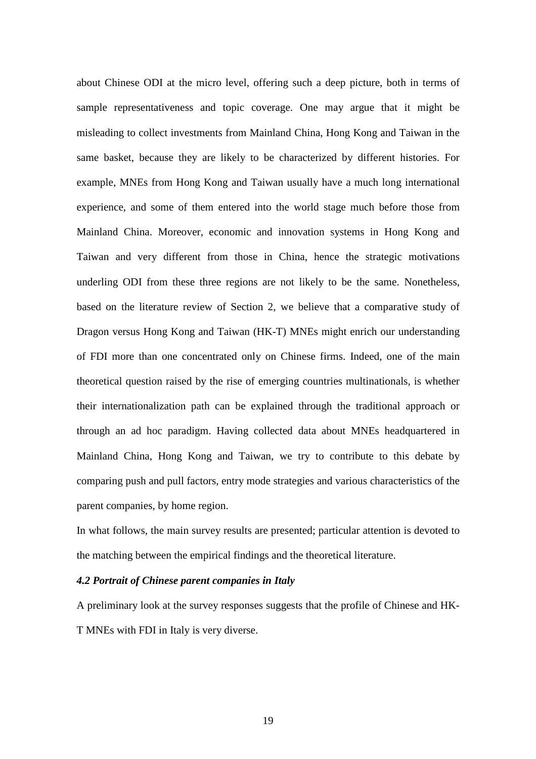about Chinese ODI at the micro level, offering such a deep picture, both in terms of sample representativeness and topic coverage. One may argue that it might be misleading to collect investments from Mainland China, Hong Kong and Taiwan in the same basket, because they are likely to be characterized by different histories. For example, MNEs from Hong Kong and Taiwan usually have a much long international experience, and some of them entered into the world stage much before those from Mainland China. Moreover, economic and innovation systems in Hong Kong and Taiwan and very different from those in China, hence the strategic motivations underling ODI from these three regions are not likely to be the same. Nonetheless, based on the literature review of Section 2, we believe that a comparative study of Dragon versus Hong Kong and Taiwan (HK-T) MNEs might enrich our understanding of FDI more than one concentrated only on Chinese firms. Indeed, one of the main theoretical question raised by the rise of emerging countries multinationals, is whether their internationalization path can be explained through the traditional approach or through an ad hoc paradigm. Having collected data about MNEs headquartered in Mainland China, Hong Kong and Taiwan, we try to contribute to this debate by comparing push and pull factors, entry mode strategies and various characteristics of the parent companies, by home region.

In what follows, the main survey results are presented; particular attention is devoted to the matching between the empirical findings and the theoretical literature.

# *4.2 Portrait of Chinese parent companies in Italy*

A preliminary look at the survey responses suggests that the profile of Chinese and HK-T MNEs with FDI in Italy is very diverse.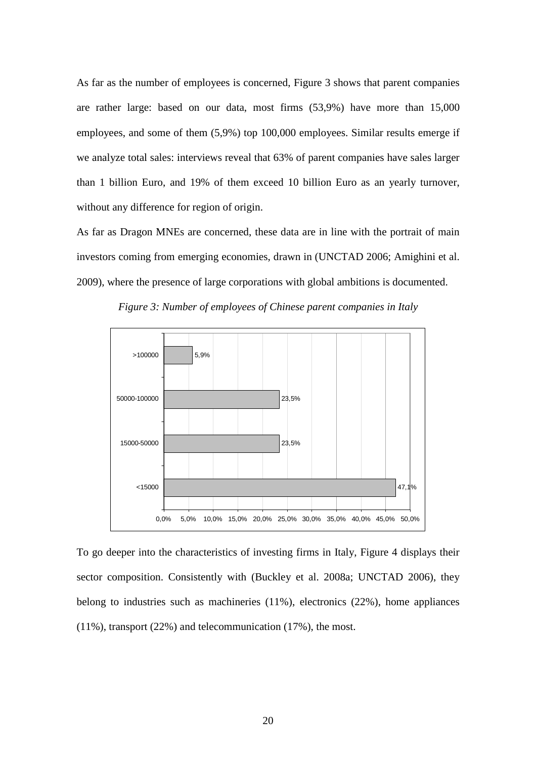As far as the number of employees is concerned, Figure 3 shows that parent companies are rather large: based on our data, most firms (53,9%) have more than 15,000 employees, and some of them (5,9%) top 100,000 employees. Similar results emerge if we analyze total sales: interviews reveal that 63% of parent companies have sales larger than 1 billion Euro, and 19% of them exceed 10 billion Euro as an yearly turnover, without any difference for region of origin.

As far as Dragon MNEs are concerned, these data are in line with the portrait of main investors coming from emerging economies, drawn in (UNCTAD 2006; Amighini et al. 2009), where the presence of large corporations with global ambitions is documented.



*Figure 3: Number of employees of Chinese parent companies in Italy* 

To go deeper into the characteristics of investing firms in Italy, Figure 4 displays their sector composition. Consistently with (Buckley et al. 2008a; UNCTAD 2006), they belong to industries such as machineries (11%), electronics (22%), home appliances (11%), transport (22%) and telecommunication (17%), the most.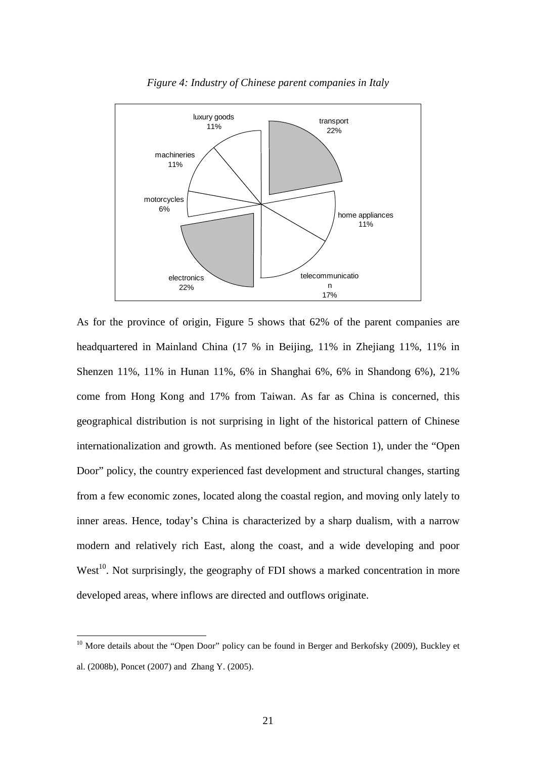

*Figure 4: Industry of Chinese parent companies in Italy* 

As for the province of origin, Figure 5 shows that 62% of the parent companies are headquartered in Mainland China (17 % in Beijing, 11% in Zhejiang 11%, 11% in Shenzen 11%, 11% in Hunan 11%, 6% in Shanghai 6%, 6% in Shandong 6%), 21% come from Hong Kong and 17% from Taiwan. As far as China is concerned, this geographical distribution is not surprising in light of the historical pattern of Chinese internationalization and growth. As mentioned before (see Section 1), under the "Open Door" policy, the country experienced fast development and structural changes, starting from a few economic zones, located along the coastal region, and moving only lately to inner areas. Hence, today's China is characterized by a sharp dualism, with a narrow modern and relatively rich East, along the coast, and a wide developing and poor West<sup>10</sup>. Not surprisingly, the geography of FDI shows a marked concentration in more developed areas, where inflows are directed and outflows originate.

 $\overline{a}$ 

<sup>&</sup>lt;sup>10</sup> More details about the "Open Door" policy can be found in Berger and Berkofsky (2009), Buckley et al. (2008b), Poncet (2007) and Zhang Y. (2005).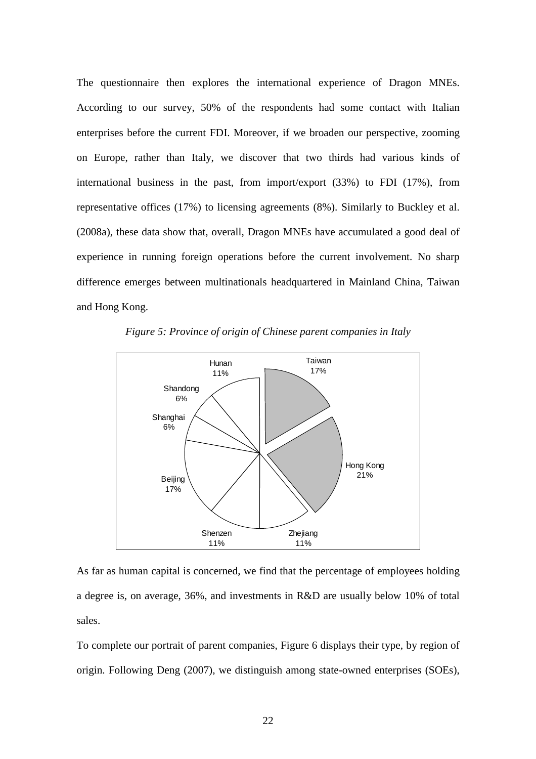The questionnaire then explores the international experience of Dragon MNEs. According to our survey, 50% of the respondents had some contact with Italian enterprises before the current FDI. Moreover, if we broaden our perspective, zooming on Europe, rather than Italy, we discover that two thirds had various kinds of international business in the past, from import/export (33%) to FDI (17%), from representative offices (17%) to licensing agreements (8%). Similarly to Buckley et al. (2008a), these data show that, overall, Dragon MNEs have accumulated a good deal of experience in running foreign operations before the current involvement. No sharp difference emerges between multinationals headquartered in Mainland China, Taiwan and Hong Kong.



*Figure 5: Province of origin of Chinese parent companies in Italy* 

As far as human capital is concerned, we find that the percentage of employees holding a degree is, on average, 36%, and investments in R&D are usually below 10% of total sales.

To complete our portrait of parent companies, Figure 6 displays their type, by region of origin. Following Deng (2007), we distinguish among state-owned enterprises (SOEs),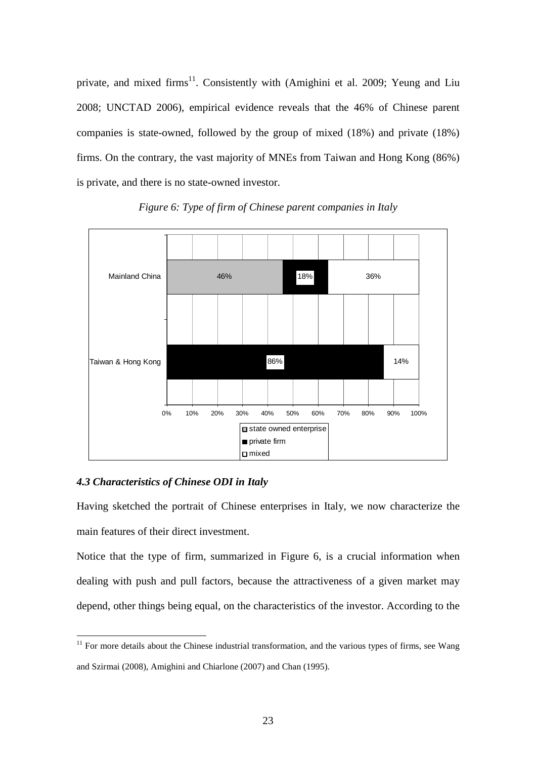private, and mixed firms<sup>11</sup>. Consistently with (Amighini et al. 2009; Yeung and Liu 2008; UNCTAD 2006), empirical evidence reveals that the 46% of Chinese parent companies is state-owned, followed by the group of mixed (18%) and private (18%) firms. On the contrary, the vast majority of MNEs from Taiwan and Hong Kong (86%) is private, and there is no state-owned investor.



*Figure 6: Type of firm of Chinese parent companies in Italy* 

# *4.3 Characteristics of Chinese ODI in Italy*

 $\overline{a}$ 

Having sketched the portrait of Chinese enterprises in Italy, we now characterize the main features of their direct investment.

Notice that the type of firm, summarized in Figure 6, is a crucial information when dealing with push and pull factors, because the attractiveness of a given market may depend, other things being equal, on the characteristics of the investor. According to the

 $11$  For more details about the Chinese industrial transformation, and the various types of firms, see Wang and Szirmai (2008), Amighini and Chiarlone (2007) and Chan (1995).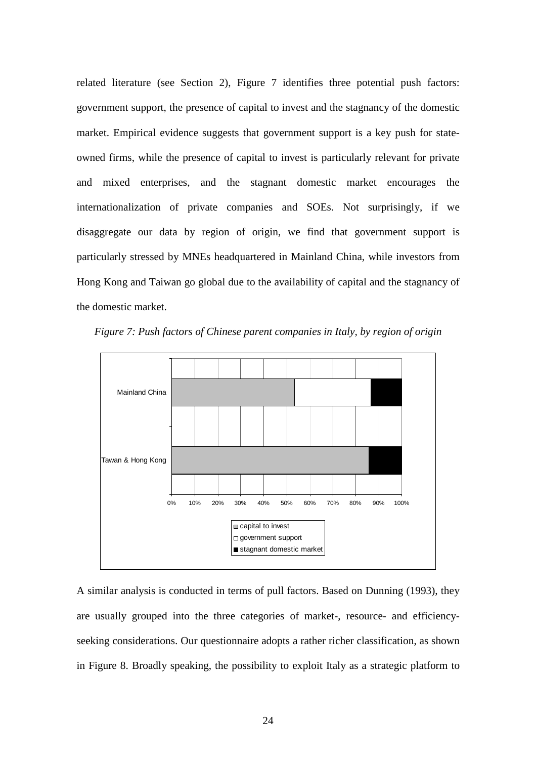related literature (see Section 2), Figure 7 identifies three potential push factors: government support, the presence of capital to invest and the stagnancy of the domestic market. Empirical evidence suggests that government support is a key push for stateowned firms, while the presence of capital to invest is particularly relevant for private and mixed enterprises, and the stagnant domestic market encourages the internationalization of private companies and SOEs. Not surprisingly, if we disaggregate our data by region of origin, we find that government support is particularly stressed by MNEs headquartered in Mainland China, while investors from Hong Kong and Taiwan go global due to the availability of capital and the stagnancy of the domestic market.

*Figure 7: Push factors of Chinese parent companies in Italy, by region of origin* 



A similar analysis is conducted in terms of pull factors. Based on Dunning (1993), they are usually grouped into the three categories of market-, resource- and efficiencyseeking considerations. Our questionnaire adopts a rather richer classification, as shown in Figure 8. Broadly speaking, the possibility to exploit Italy as a strategic platform to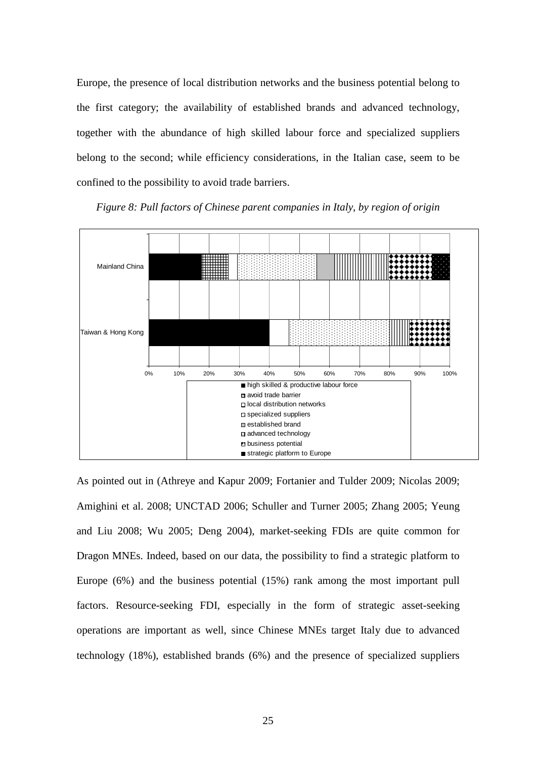Europe, the presence of local distribution networks and the business potential belong to the first category; the availability of established brands and advanced technology, together with the abundance of high skilled labour force and specialized suppliers belong to the second; while efficiency considerations, in the Italian case, seem to be confined to the possibility to avoid trade barriers.



*Figure 8: Pull factors of Chinese parent companies in Italy, by region of origin* 

As pointed out in (Athreye and Kapur 2009; Fortanier and Tulder 2009; Nicolas 2009; Amighini et al. 2008; UNCTAD 2006; Schuller and Turner 2005; Zhang 2005; Yeung and Liu 2008; Wu 2005; Deng 2004), market-seeking FDIs are quite common for Dragon MNEs. Indeed, based on our data, the possibility to find a strategic platform to Europe (6%) and the business potential (15%) rank among the most important pull factors. Resource-seeking FDI, especially in the form of strategic asset-seeking operations are important as well, since Chinese MNEs target Italy due to advanced technology (18%), established brands (6%) and the presence of specialized suppliers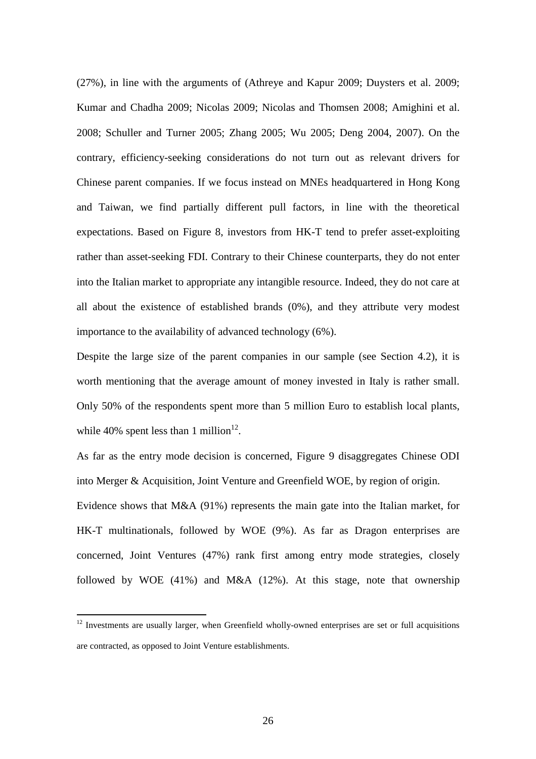(27%), in line with the arguments of (Athreye and Kapur 2009; Duysters et al. 2009; Kumar and Chadha 2009; Nicolas 2009; Nicolas and Thomsen 2008; Amighini et al. 2008; Schuller and Turner 2005; Zhang 2005; Wu 2005; Deng 2004, 2007). On the contrary, efficiency-seeking considerations do not turn out as relevant drivers for Chinese parent companies. If we focus instead on MNEs headquartered in Hong Kong and Taiwan, we find partially different pull factors, in line with the theoretical expectations. Based on Figure 8, investors from HK-T tend to prefer asset-exploiting rather than asset-seeking FDI. Contrary to their Chinese counterparts, they do not enter into the Italian market to appropriate any intangible resource. Indeed, they do not care at all about the existence of established brands (0%), and they attribute very modest importance to the availability of advanced technology (6%).

Despite the large size of the parent companies in our sample (see Section 4.2), it is worth mentioning that the average amount of money invested in Italy is rather small. Only 50% of the respondents spent more than 5 million Euro to establish local plants, while 40% spent less than 1 million<sup>12</sup>.

As far as the entry mode decision is concerned, Figure 9 disaggregates Chinese ODI into Merger & Acquisition, Joint Venture and Greenfield WOE, by region of origin. Evidence shows that M&A (91%) represents the main gate into the Italian market, for HK-T multinationals, followed by WOE (9%). As far as Dragon enterprises are concerned, Joint Ventures (47%) rank first among entry mode strategies, closely followed by WOE (41%) and M&A (12%). At this stage, note that ownership

 $\overline{a}$ 

 $12$  Investments are usually larger, when Greenfield wholly-owned enterprises are set or full acquisitions are contracted, as opposed to Joint Venture establishments.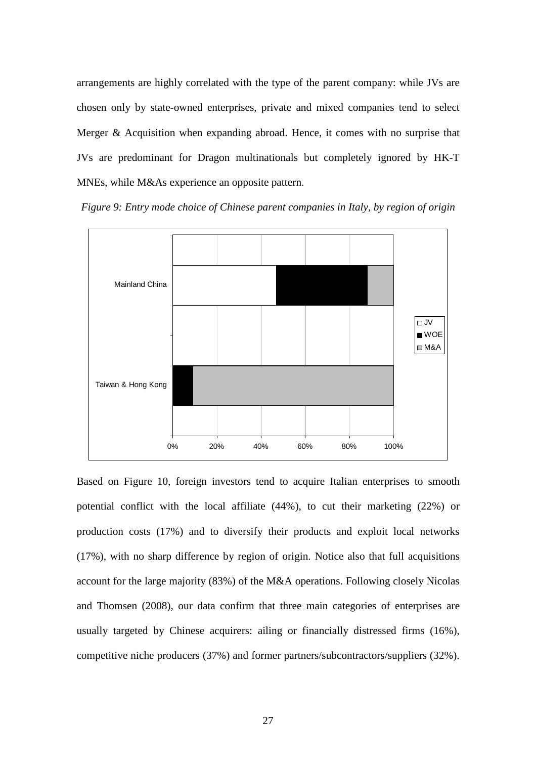arrangements are highly correlated with the type of the parent company: while JVs are chosen only by state-owned enterprises, private and mixed companies tend to select Merger & Acquisition when expanding abroad. Hence, it comes with no surprise that JVs are predominant for Dragon multinationals but completely ignored by HK-T MNEs, while M&As experience an opposite pattern.

*Figure 9: Entry mode choice of Chinese parent companies in Italy, by region of origin* 



Based on Figure 10, foreign investors tend to acquire Italian enterprises to smooth potential conflict with the local affiliate (44%), to cut their marketing (22%) or production costs (17%) and to diversify their products and exploit local networks (17%), with no sharp difference by region of origin. Notice also that full acquisitions account for the large majority (83%) of the M&A operations. Following closely Nicolas and Thomsen (2008), our data confirm that three main categories of enterprises are usually targeted by Chinese acquirers: ailing or financially distressed firms (16%), competitive niche producers (37%) and former partners/subcontractors/suppliers (32%).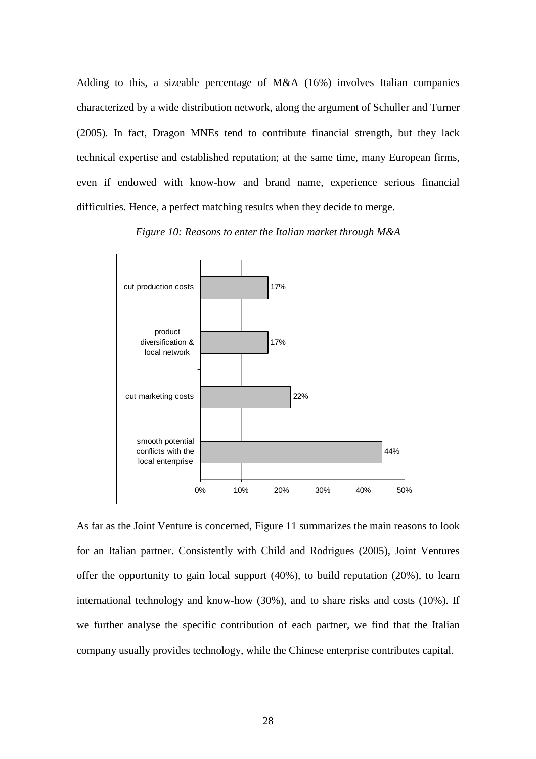Adding to this, a sizeable percentage of M&A (16%) involves Italian companies characterized by a wide distribution network, along the argument of Schuller and Turner (2005). In fact, Dragon MNEs tend to contribute financial strength, but they lack technical expertise and established reputation; at the same time, many European firms, even if endowed with know-how and brand name, experience serious financial difficulties. Hence, a perfect matching results when they decide to merge.



*Figure 10: Reasons to enter the Italian market through M&A* 

As far as the Joint Venture is concerned, Figure 11 summarizes the main reasons to look for an Italian partner. Consistently with Child and Rodrigues (2005), Joint Ventures offer the opportunity to gain local support (40%), to build reputation (20%), to learn international technology and know-how (30%), and to share risks and costs (10%). If we further analyse the specific contribution of each partner, we find that the Italian company usually provides technology, while the Chinese enterprise contributes capital.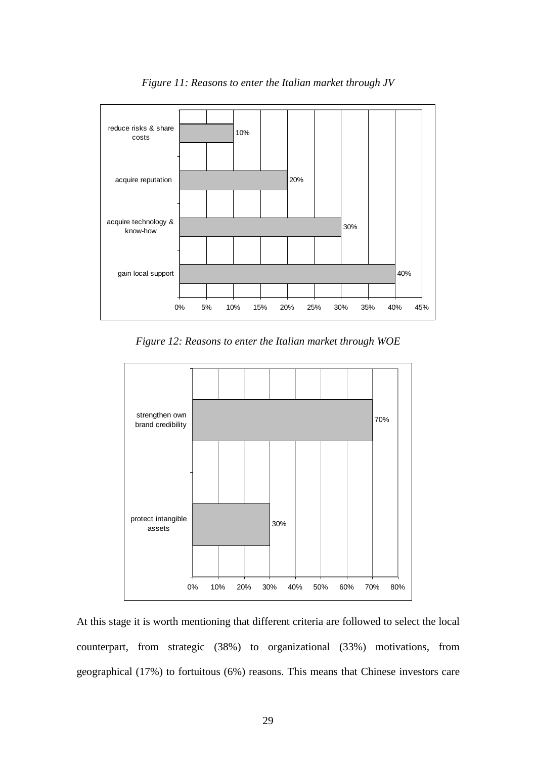

*Figure 11: Reasons to enter the Italian market through JV* 

*Figure 12: Reasons to enter the Italian market through WOE* 



At this stage it is worth mentioning that different criteria are followed to select the local counterpart, from strategic (38%) to organizational (33%) motivations, from geographical (17%) to fortuitous (6%) reasons. This means that Chinese investors care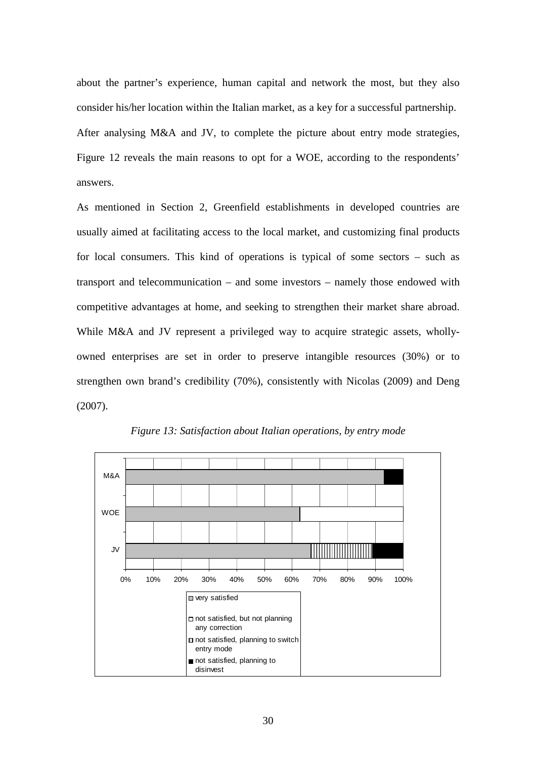about the partner's experience, human capital and network the most, but they also consider his/her location within the Italian market, as a key for a successful partnership. After analysing M&A and JV, to complete the picture about entry mode strategies, Figure 12 reveals the main reasons to opt for a WOE, according to the respondents' answers.

As mentioned in Section 2, Greenfield establishments in developed countries are usually aimed at facilitating access to the local market, and customizing final products for local consumers. This kind of operations is typical of some sectors – such as transport and telecommunication – and some investors – namely those endowed with competitive advantages at home, and seeking to strengthen their market share abroad. While M&A and JV represent a privileged way to acquire strategic assets, whollyowned enterprises are set in order to preserve intangible resources (30%) or to strengthen own brand's credibility (70%), consistently with Nicolas (2009) and Deng (2007).



*Figure 13: Satisfaction about Italian operations, by entry mode*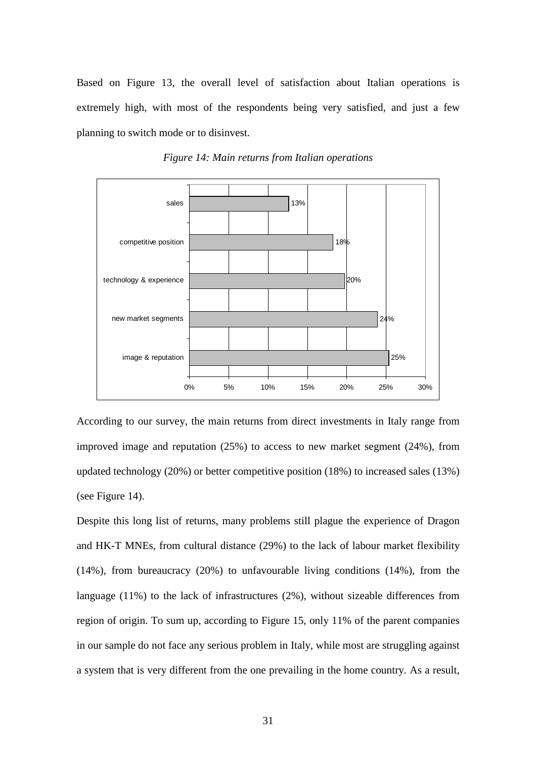Based on Figure 13, the overall level of satisfaction about Italian operations is extremely high, with most of the respondents being very satisfied, and just a few planning to switch mode or to disinvest.



*Figure 14: Main returns from Italian operations* 

According to our survey, the main returns from direct investments in Italy range from improved image and reputation (25%) to access to new market segment (24%), from updated technology (20%) or better competitive position (18%) to increased sales (13%) (see Figure 14).

Despite this long list of returns, many problems still plague the experience of Dragon and HK-T MNEs, from cultural distance (29%) to the lack of labour market flexibility (14%), from bureaucracy (20%) to unfavourable living conditions (14%), from the language (11%) to the lack of infrastructures (2%), without sizeable differences from region of origin. To sum up, according to Figure 15, only 11% of the parent companies in our sample do not face any serious problem in Italy, while most are struggling against a system that is very different from the one prevailing in the home country. As a result,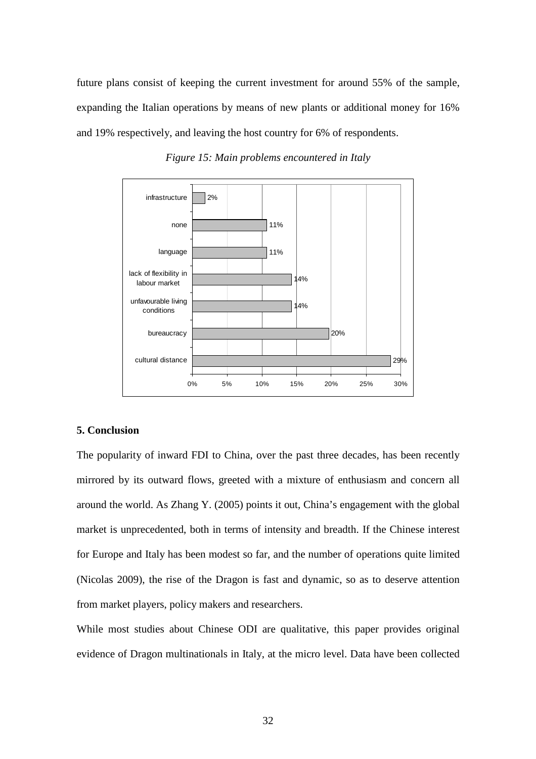future plans consist of keeping the current investment for around 55% of the sample, expanding the Italian operations by means of new plants or additional money for 16% and 19% respectively, and leaving the host country for 6% of respondents.



*Figure 15: Main problems encountered in Italy* 

# **5. Conclusion**

The popularity of inward FDI to China, over the past three decades, has been recently mirrored by its outward flows, greeted with a mixture of enthusiasm and concern all around the world. As Zhang Y. (2005) points it out, China's engagement with the global market is unprecedented, both in terms of intensity and breadth. If the Chinese interest for Europe and Italy has been modest so far, and the number of operations quite limited (Nicolas 2009), the rise of the Dragon is fast and dynamic, so as to deserve attention from market players, policy makers and researchers.

While most studies about Chinese ODI are qualitative, this paper provides original evidence of Dragon multinationals in Italy, at the micro level. Data have been collected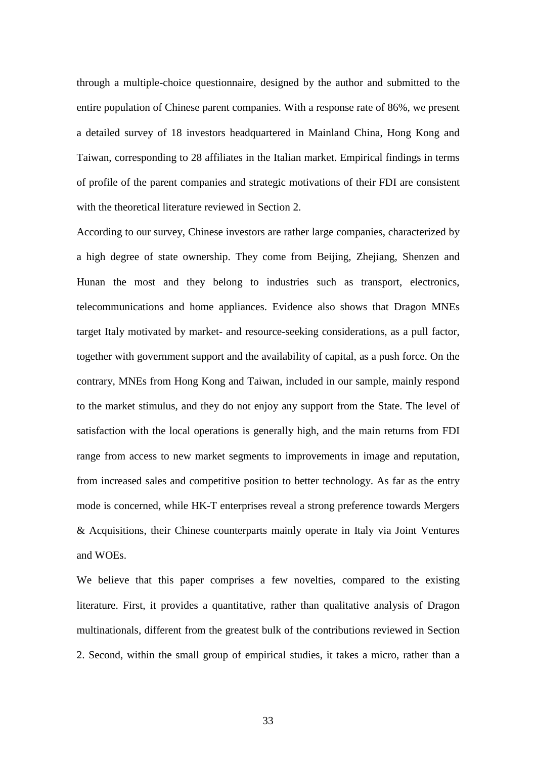through a multiple-choice questionnaire, designed by the author and submitted to the entire population of Chinese parent companies. With a response rate of 86%, we present a detailed survey of 18 investors headquartered in Mainland China, Hong Kong and Taiwan, corresponding to 28 affiliates in the Italian market. Empirical findings in terms of profile of the parent companies and strategic motivations of their FDI are consistent with the theoretical literature reviewed in Section 2.

According to our survey, Chinese investors are rather large companies, characterized by a high degree of state ownership. They come from Beijing, Zhejiang, Shenzen and Hunan the most and they belong to industries such as transport, electronics, telecommunications and home appliances. Evidence also shows that Dragon MNEs target Italy motivated by market- and resource-seeking considerations, as a pull factor, together with government support and the availability of capital, as a push force. On the contrary, MNEs from Hong Kong and Taiwan, included in our sample, mainly respond to the market stimulus, and they do not enjoy any support from the State. The level of satisfaction with the local operations is generally high, and the main returns from FDI range from access to new market segments to improvements in image and reputation, from increased sales and competitive position to better technology. As far as the entry mode is concerned, while HK-T enterprises reveal a strong preference towards Mergers & Acquisitions, their Chinese counterparts mainly operate in Italy via Joint Ventures and WOEs.

We believe that this paper comprises a few novelties, compared to the existing literature. First, it provides a quantitative, rather than qualitative analysis of Dragon multinationals, different from the greatest bulk of the contributions reviewed in Section 2. Second, within the small group of empirical studies, it takes a micro, rather than a

33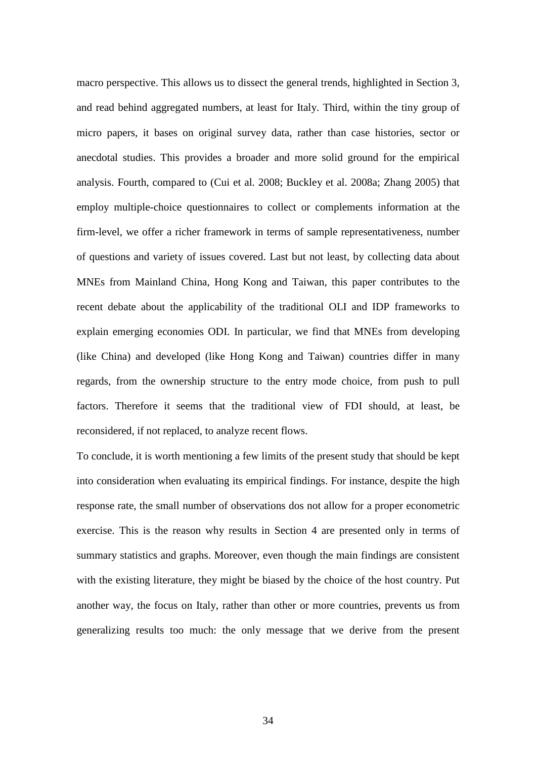macro perspective. This allows us to dissect the general trends, highlighted in Section 3, and read behind aggregated numbers, at least for Italy. Third, within the tiny group of micro papers, it bases on original survey data, rather than case histories, sector or anecdotal studies. This provides a broader and more solid ground for the empirical analysis. Fourth, compared to (Cui et al. 2008; Buckley et al. 2008a; Zhang 2005) that employ multiple-choice questionnaires to collect or complements information at the firm-level, we offer a richer framework in terms of sample representativeness, number of questions and variety of issues covered. Last but not least, by collecting data about MNEs from Mainland China, Hong Kong and Taiwan, this paper contributes to the recent debate about the applicability of the traditional OLI and IDP frameworks to explain emerging economies ODI. In particular, we find that MNEs from developing (like China) and developed (like Hong Kong and Taiwan) countries differ in many regards, from the ownership structure to the entry mode choice, from push to pull factors. Therefore it seems that the traditional view of FDI should, at least, be reconsidered, if not replaced, to analyze recent flows.

To conclude, it is worth mentioning a few limits of the present study that should be kept into consideration when evaluating its empirical findings. For instance, despite the high response rate, the small number of observations dos not allow for a proper econometric exercise. This is the reason why results in Section 4 are presented only in terms of summary statistics and graphs. Moreover, even though the main findings are consistent with the existing literature, they might be biased by the choice of the host country. Put another way, the focus on Italy, rather than other or more countries, prevents us from generalizing results too much: the only message that we derive from the present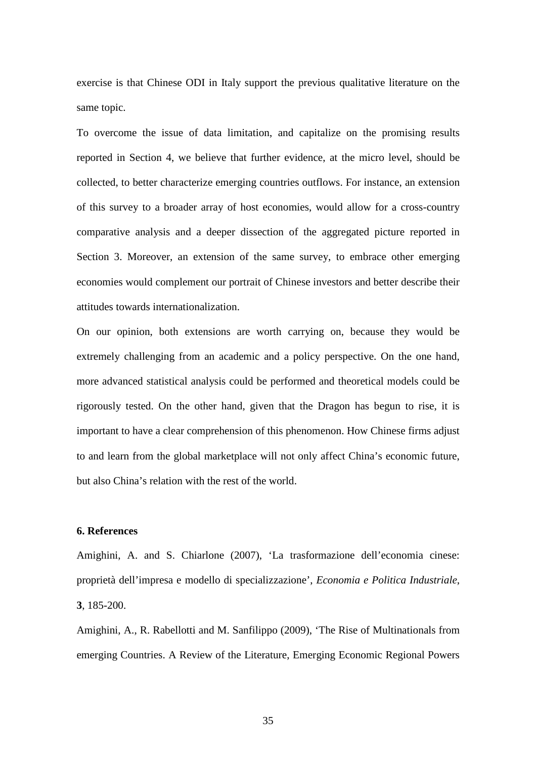exercise is that Chinese ODI in Italy support the previous qualitative literature on the same topic.

To overcome the issue of data limitation, and capitalize on the promising results reported in Section 4, we believe that further evidence, at the micro level, should be collected, to better characterize emerging countries outflows. For instance, an extension of this survey to a broader array of host economies, would allow for a cross-country comparative analysis and a deeper dissection of the aggregated picture reported in Section 3. Moreover, an extension of the same survey, to embrace other emerging economies would complement our portrait of Chinese investors and better describe their attitudes towards internationalization.

On our opinion, both extensions are worth carrying on, because they would be extremely challenging from an academic and a policy perspective. On the one hand, more advanced statistical analysis could be performed and theoretical models could be rigorously tested. On the other hand, given that the Dragon has begun to rise, it is important to have a clear comprehension of this phenomenon. How Chinese firms adjust to and learn from the global marketplace will not only affect China's economic future, but also China's relation with the rest of the world.

# **6. References**

Amighini, A. and S. Chiarlone (2007), 'La trasformazione dell'economia cinese: proprietà dell'impresa e modello di specializzazione', *Economia e Politica Industriale*, **3**, 185-200.

Amighini, A., R. Rabellotti and M. Sanfilippo (2009), 'The Rise of Multinationals from emerging Countries. A Review of the Literature, Emerging Economic Regional Powers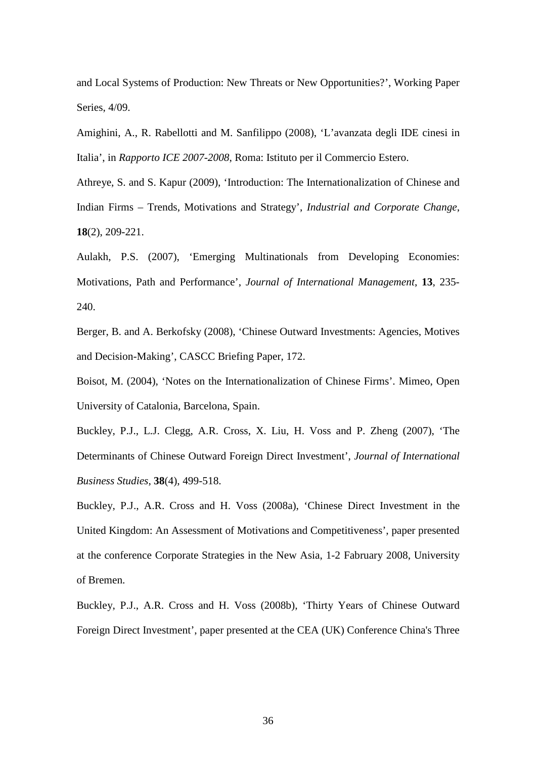and Local Systems of Production: New Threats or New Opportunities?', Working Paper Series, 4/09.

Amighini, A., R. Rabellotti and M. Sanfilippo (2008), 'L'avanzata degli IDE cinesi in Italia', in *Rapporto ICE 2007-2008*, Roma: Istituto per il Commercio Estero.

Athreye, S. and S. Kapur (2009), 'Introduction: The Internationalization of Chinese and Indian Firms – Trends, Motivations and Strategy', *Industrial and Corporate Change*, **18**(2), 209-221.

Aulakh, P.S. (2007), 'Emerging Multinationals from Developing Economies: Motivations, Path and Performance', *Journal of International Management*, **13**, 235- 240.

Berger, B. and A. Berkofsky (2008), 'Chinese Outward Investments: Agencies, Motives and Decision-Making', CASCC Briefing Paper, 172.

Boisot, M. (2004), 'Notes on the Internationalization of Chinese Firms'. Mimeo, Open University of Catalonia, Barcelona, Spain.

Buckley, P.J., L.J. Clegg, A.R. Cross, X. Liu, H. Voss and P. Zheng (2007), 'The Determinants of Chinese Outward Foreign Direct Investment', *Journal of International Business Studies*, **38**(4), 499-518.

Buckley, P.J., A.R. Cross and H. Voss (2008a), 'Chinese Direct Investment in the United Kingdom: An Assessment of Motivations and Competitiveness', paper presented at the conference Corporate Strategies in the New Asia, 1-2 Fabruary 2008, University of Bremen.

Buckley, P.J., A.R. Cross and H. Voss (2008b), 'Thirty Years of Chinese Outward Foreign Direct Investment', paper presented at the CEA (UK) Conference China's Three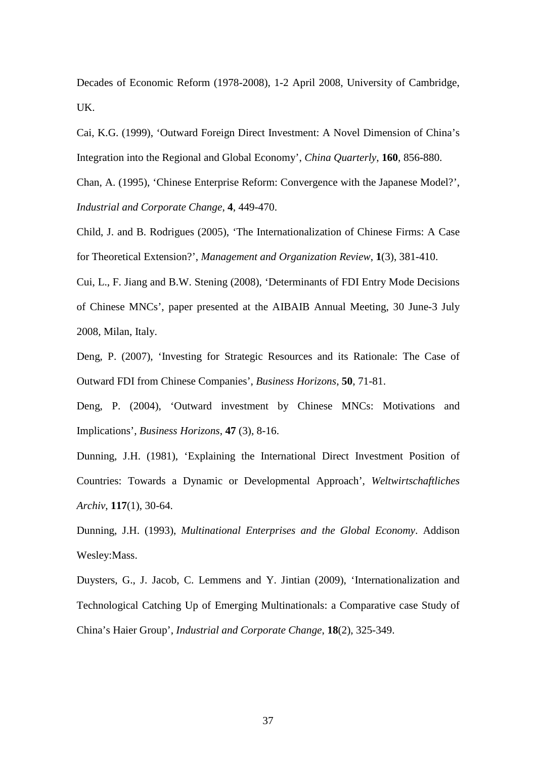Decades of Economic Reform (1978-2008), 1-2 April 2008, University of Cambridge, UK.

Cai, K.G. (1999), 'Outward Foreign Direct Investment: A Novel Dimension of China's Integration into the Regional and Global Economy', *China Quarterly*, **160**, 856-880.

Chan, A. (1995), 'Chinese Enterprise Reform: Convergence with the Japanese Model?', *Industrial and Corporate Change*, **4**, 449-470.

Child, J. and B. Rodrigues (2005), 'The Internationalization of Chinese Firms: A Case for Theoretical Extension?', *Management and Organization Review*, **1**(3), 381-410.

Cui, L., F. Jiang and B.W. Stening (2008), 'Determinants of FDI Entry Mode Decisions of Chinese MNCs', paper presented at the AIBAIB Annual Meeting, 30 June-3 July 2008, Milan, Italy.

Deng, P. (2007), 'Investing for Strategic Resources and its Rationale: The Case of Outward FDI from Chinese Companies', *Business Horizons*, **50**, 71-81.

Deng, P. (2004), 'Outward investment by Chinese MNCs: Motivations and Implications', *Business Horizons*, **47** (3), 8-16.

Dunning, J.H. (1981), 'Explaining the International Direct Investment Position of Countries: Towards a Dynamic or Developmental Approach', *Weltwirtschaftliches Archiv*, **117**(1), 30-64.

Dunning, J.H. (1993), *Multinational Enterprises and the Global Economy*. Addison Wesley:Mass.

Duysters, G., J. Jacob, C. Lemmens and Y. Jintian (2009), 'Internationalization and Technological Catching Up of Emerging Multinationals: a Comparative case Study of China's Haier Group', *Industrial and Corporate Change*, **18**(2), 325-349.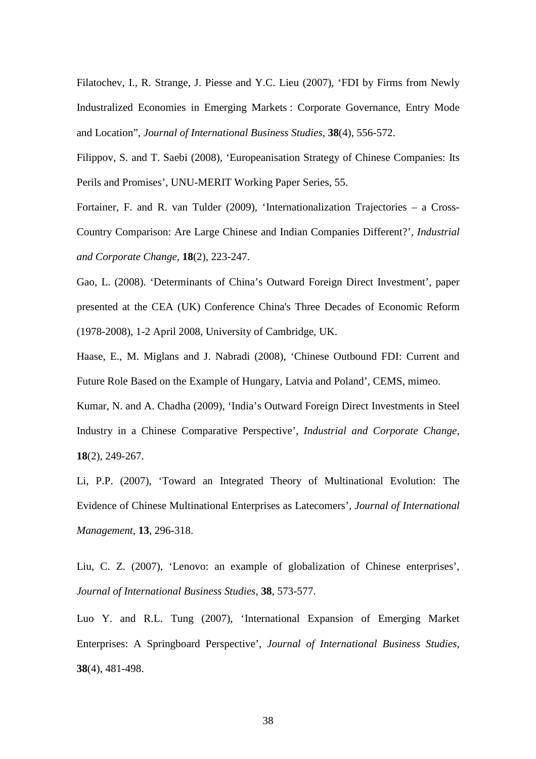Filatochev, I., R. Strange, J. Piesse and Y.C. Lieu (2007), 'FDI by Firms from Newly Industralized Economies in Emerging Markets : Corporate Governance, Entry Mode and Location", *Journal of International Business Studies*, **38**(4), 556-572.

Filippov, S. and T. Saebi (2008), 'Europeanisation Strategy of Chinese Companies: Its Perils and Promises', UNU-MERIT Working Paper Series, 55.

Fortainer, F. and R. van Tulder (2009), 'Internationalization Trajectories – a Cross-Country Comparison: Are Large Chinese and Indian Companies Different?', *Industrial and Corporate Change*, **18**(2), 223-247.

Gao, L. (2008). 'Determinants of China's Outward Foreign Direct Investment', paper presented at the CEA (UK) Conference China's Three Decades of Economic Reform (1978-2008), 1-2 April 2008, University of Cambridge, UK.

Haase, E., M. Miglans and J. Nabradi (2008), 'Chinese Outbound FDI: Current and Future Role Based on the Example of Hungary, Latvia and Poland', CEMS, mimeo.

Kumar, N. and A. Chadha (2009), 'India's Outward Foreign Direct Investments in Steel Industry in a Chinese Comparative Perspective', *Industrial and Corporate Change*, **18**(2), 249-267.

Li, P.P. (2007), 'Toward an Integrated Theory of Multinational Evolution: The Evidence of Chinese Multinational Enterprises as Latecomers', *Journal of International Management*, **13**, 296-318.

Liu, C. Z. (2007), 'Lenovo: an example of globalization of Chinese enterprises', *Journal of International Business Studies*, **38**, 573-577.

Luo Y. and R.L. Tung (2007), 'International Expansion of Emerging Market Enterprises: A Springboard Perspective', *Journal of International Business Studies*, **38**(4), 481-498.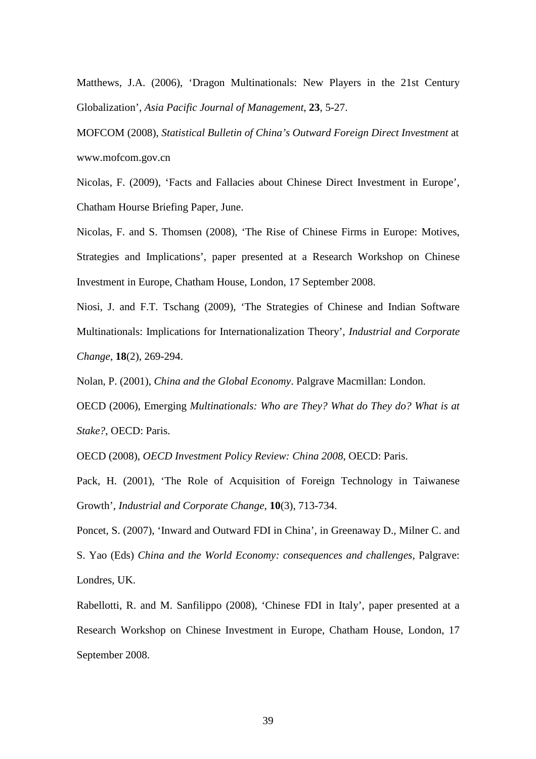Matthews, J.A. (2006), 'Dragon Multinationals: New Players in the 21st Century Globalization', *Asia Pacific Journal of Management*, **23**, 5-27.

MOFCOM (2008), *Statistical Bulletin of China's Outward Foreign Direct Investment* at www.mofcom.gov.cn

Nicolas, F. (2009), 'Facts and Fallacies about Chinese Direct Investment in Europe', Chatham Hourse Briefing Paper, June.

Nicolas, F. and S. Thomsen (2008), 'The Rise of Chinese Firms in Europe: Motives, Strategies and Implications', paper presented at a Research Workshop on Chinese Investment in Europe, Chatham House, London, 17 September 2008.

Niosi, J. and F.T. Tschang (2009), 'The Strategies of Chinese and Indian Software Multinationals: Implications for Internationalization Theory', *Industrial and Corporate Change*, **18**(2), 269-294.

Nolan, P. (2001), *China and the Global Economy*. Palgrave Macmillan: London.

OECD (2006), Emerging *Multinationals: Who are They? What do They do? What is at Stake?*, OECD: Paris.

OECD (2008), *OECD Investment Policy Review: China 2008*, OECD: Paris.

Pack, H. (2001), 'The Role of Acquisition of Foreign Technology in Taiwanese Growth', *Industrial and Corporate Change*, **10**(3), 713-734.

Poncet, S. (2007), 'Inward and Outward FDI in China', in Greenaway D., Milner C. and S. Yao (Eds) *China and the World Economy: consequences and challenges*, Palgrave: Londres, UK.

Rabellotti, R. and M. Sanfilippo (2008), 'Chinese FDI in Italy', paper presented at a Research Workshop on Chinese Investment in Europe, Chatham House, London, 17 September 2008.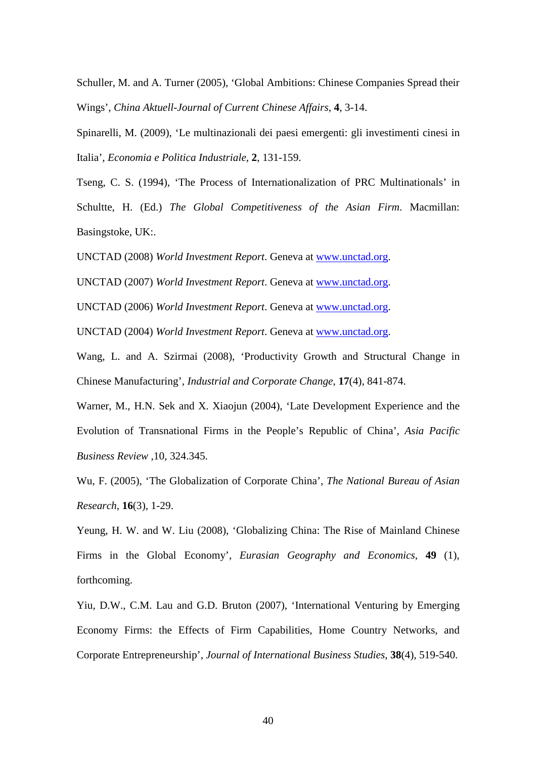Schuller, M. and A. Turner (2005), 'Global Ambitions: Chinese Companies Spread their Wings', *China Aktuell-Journal of Current Chinese Affairs*, **4**, 3-14.

Spinarelli, M. (2009), 'Le multinazionali dei paesi emergenti: gli investimenti cinesi in Italia', *Economia e Politica Industriale*, **2**, 131-159.

Tseng, C. S. (1994), 'The Process of Internationalization of PRC Multinationals' in Schultte, H. (Ed.) *The Global Competitiveness of the Asian Firm*. Macmillan: Basingstoke, UK:.

UNCTAD (2008) *World Investment Report*. Geneva at www.unctad.org.

UNCTAD (2007) *World Investment Report*. Geneva at www.unctad.org.

UNCTAD (2006) *World Investment Report*. Geneva at www.unctad.org.

UNCTAD (2004) *World Investment Report*. Geneva at www.unctad.org.

Wang, L. and A. Szirmai (2008), 'Productivity Growth and Structural Change in Chinese Manufacturing', *Industrial and Corporate Change*, **17**(4), 841-874.

Warner, M., H.N. Sek and X. Xiaojun (2004), 'Late Development Experience and the Evolution of Transnational Firms in the People's Republic of China', *Asia Pacific Business Review* ,10, 324.345.

Wu, F. (2005), 'The Globalization of Corporate China', *The National Bureau of Asian Research*, **16**(3), 1-29.

Yeung, H. W. and W. Liu (2008), 'Globalizing China: The Rise of Mainland Chinese Firms in the Global Economy', *Eurasian Geography and Economics*, **49** (1), forthcoming.

Yiu, D.W., C.M. Lau and G.D. Bruton (2007), 'International Venturing by Emerging Economy Firms: the Effects of Firm Capabilities, Home Country Networks, and Corporate Entrepreneurship', *Journal of International Business Studies*, **38**(4), 519-540.